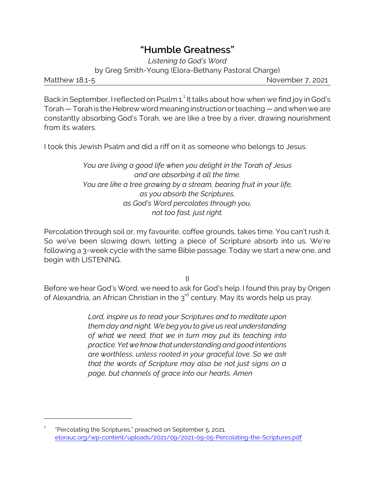## **"Humble Greatness"**

*Listening to God's Word* by Greg Smith-Young (Elora-Bethany Pastoral Charge)

Matthew 18.1-5 November 7, 2021

Back in September, I reflected on Psalm 1.<sup>1</sup> It talks about how when we find joy in God's Torah — Torah is the Hebrew word meaning instruction orteaching — and when we are constantly absorbing God's Torah, we are like a tree by a river, drawing nourishment from its waters.

I took this Jewish Psalm and did a riff on it as someone who belongs to Jesus.

*You are living a good life when you delight in the Torah of Jesus and are absorbing it all the time. You are like a tree growing by a stream, bearing fruit in your life, as you absorb the Scriptures, as God's Word percolates through you, not too fast, just right.*

Percolation through soil or, my favourite, coffee grounds, takes time. You can't rush it. So we've been slowing down, letting a piece of Scripture absorb into us. We're following a 3-week cycle with the same Bible passage. Today we start a new one, and begin with LISTENING.

II

Before we hear God's Word, we need to ask for God's help. I found this pray by Origen of Alexandria, an African Christian in the  $\mathfrak z^{\rm rd}$  century. May its words help us pray.

> *Lord, inspire us to read your Scriptures and to meditate upon them day and night. We beg you to give us real understanding of what we need, that we in turn may put its teaching into practice. Yet we know that understanding and good intentions are worthless, unless rooted in your graceful love. So we ask that the words of Scripture may also be not just signs on a page, but channels of grace into our hearts. Amen*

<sup>1</sup> "Percolating the Scriptures," preached on September 5, 2021. [elorauc.org/wp-content/uploads/2021/09/2021-09-05-Percolating-the-Scriptures.pdf](https://elorauc.org/wp-content/uploads/2021/09/2021-09-05-Percolating-the-Scriptures.pdf)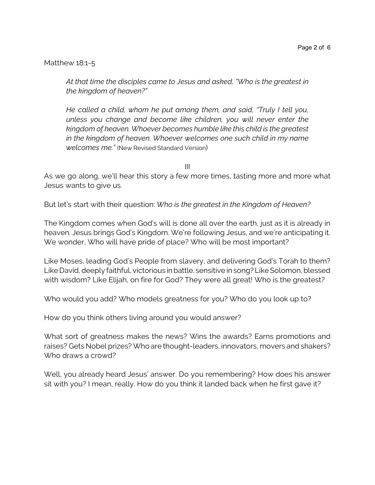Matthew 18:1-5

*At that time the disciples came to Jesus and asked, "Who is the greatest in the kingdom of heaven?"* 

*He called a child, whom he put among them, and said, "Truly I tell you, unless you change and become like children, you will never enter the kingdom of heaven. Whoever becomes humble like this child is the greatest in the kingdom of heaven. Whoever welcomes one such child in my name welcomes me."* (New Revised Standard Version)

III

As we go along, we'll hear this story a few more times, tasting more and more what Jesus wants to give us.

But let's start with their question: *Who is the greatest in the Kingdom of Heaven?*

The Kingdom comes when God's will is done all over the earth, just as it is already in heaven. Jesus brings God's Kingdom. We're following Jesus, and we're anticipating it. We wonder, Who will have pride of place? Who will be most important?

Like Moses, leading God's People from slavery, and delivering God's Torah to them? Like David, deeply faithful, victorious in battle, sensitive in song? Like Solomon, blessed with wisdom? Like Elijah, on fire for God? They were all great! Who is the greatest?

Who would you add? Who models greatness for you? Who do you look up to?

How do you think others living around you would answer?

What sort of greatness makes the news? Wins the awards? Earns promotions and raises? Gets Nobel prizes? Who are thought-leaders, innovators, movers and shakers? Who draws a crowd?

Well, you already heard Jesus' answer. Do you remembering? How does his answer sit with you? I mean, really. How do you think it landed back when he first gave it?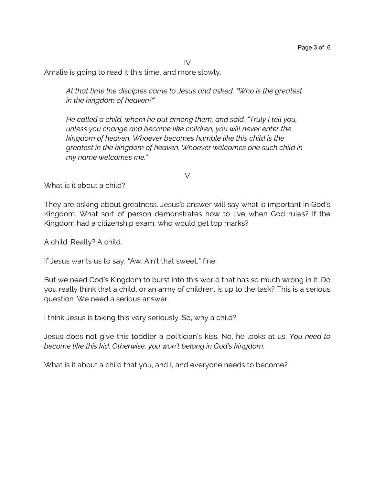IV

Amalie is going to read it this time, and more slowly.

*At that time the disciples came to Jesus and asked, "Who is the greatest in the kingdom of heaven?"* 

*He called a child, whom he put among them, and said, "Truly I tell you, unless you change and become like children, you will never enter the kingdom of heaven. Whoever becomes humble like this child is the greatest in the kingdom of heaven. Whoever welcomes one such child in my name welcomes me."*

What is it about a child?

They are asking about greatness. Jesus's answer will say what is important in God's Kingdom. What sort of person demonstrates how to live when God rules? If the Kingdom had a citizenship exam, who would get top marks?

V

A child. Really? A child.

If Jesus wants us to say, "Aw. Ain't that sweet," fine.

But we need God's Kingdom to burst into this world that has so much wrong in it. Do you really think that a child, or an army of children, is up to the task? This is a serious question. We need a serious answer.

I think Jesus is taking this very seriously. So, why a child?

Jesus does not give this toddler a politician's kiss. No, he looks at us. *You need to become like this kid. Otherwise, you won't belong in God's kingdom*.

What is it about a child that you, and I, and everyone needs to become?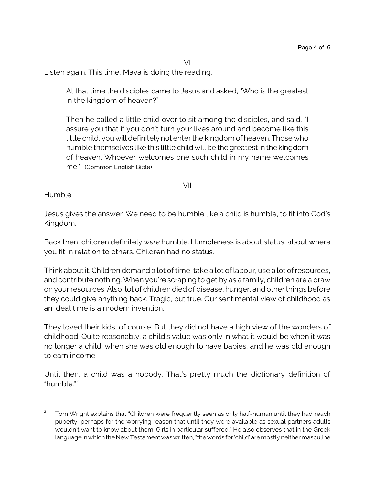VI

Listen again. This time, Maya is doing the reading.

At that time the disciples came to Jesus and asked, "Who is the greatest in the kingdom of heaven?"

Then he called a little child over to sit among the disciples, and said, "I assure you that if you don't turn your lives around and become like this little child, you will definitely not enter the kingdom of heaven. Those who humble themselves like this little child will be the greatest in the kingdom of heaven. Whoever welcomes one such child in my name welcomes me." (Common English Bible)

VII

Humble.

Jesus gives the answer. We need to be humble like a child is humble, to fit into God's Kingdom.

Back then, children definitely *were* humble. Humbleness is about status, about where you fit in relation to others. Children had no status.

Think about it. Children demand a lot of time, take a lot of labour, use a lot ofresources, and contribute nothing. When you're scraping to get by as a family, children are a draw on your resources. Also, lot of children died of disease, hunger, and other things before they could give anything back. Tragic, but true. Our sentimental view of childhood as an ideal time is a modern invention.

They loved their kids, of course. But they did not have a high view of the wonders of childhood. Quite reasonably, a child's value was only in what it would be when it was no longer a child: when she was old enough to have babies, and he was old enough to earn income.

Until then, a child was a nobody. That's pretty much the dictionary definition of "humble."<sup>2</sup>

<sup>2</sup> Tom Wright explains that "Children were frequently seen as only half-human until they had reach puberty, perhaps for the worrying reason that until they were available as sexual partners adults wouldn't want to know about them. Girls in particular suffered." He also observes that in the Greek language in which the New Testament was written, "the words for 'child' are mostly neither masculine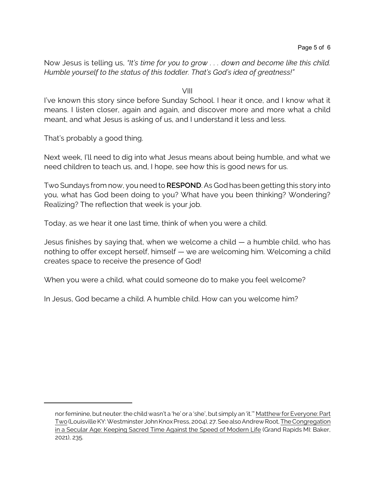Now Jesus is telling us, *"It's time for you to grow . . . down and become like this child. Humble yourself to the status of this toddler. That's God's idea of greatness!"*

VIII

I've known this story since before Sunday School. I hear it once, and I know what it means. I listen closer, again and again, and discover more and more what a child meant, and what Jesus is asking of us, and I understand it less and less.

That's probably a good thing.

Next week, I'll need to dig into what Jesus means about being humble, and what we need children to teach us, and, I hope, see how this is good news for us.

Two Sundays from now, you need to **RESPOND**. As God has been getting this story into you, what has God been doing to you? What have you been thinking? Wondering? Realizing? The reflection that week is your job.

Today, as we hear it one last time, think of when you were a child.

Jesus finishes by saying that, when we welcome a child — a humble child, who has nothing to offer except herself, himself — we are welcoming him. Welcoming a child creates space to receive the presence of God!

When you were a child, what could someone do to make you feel welcome?

In Jesus, God became a child. A humble child. How can you welcome him?

nor feminine, but neuter: the child wasn't a 'he' or a 'she', but simply an 'it.'" Matthew for Everyone: Part Two (Louisville KY: Westminster John Knox Press, 2004), 27. See also Andrew Root, The Congregation in a Secular Age: Keeping Sacred Time Against the Speed of Modern Life (Grand Rapids MI: Baker, 2021), 235.